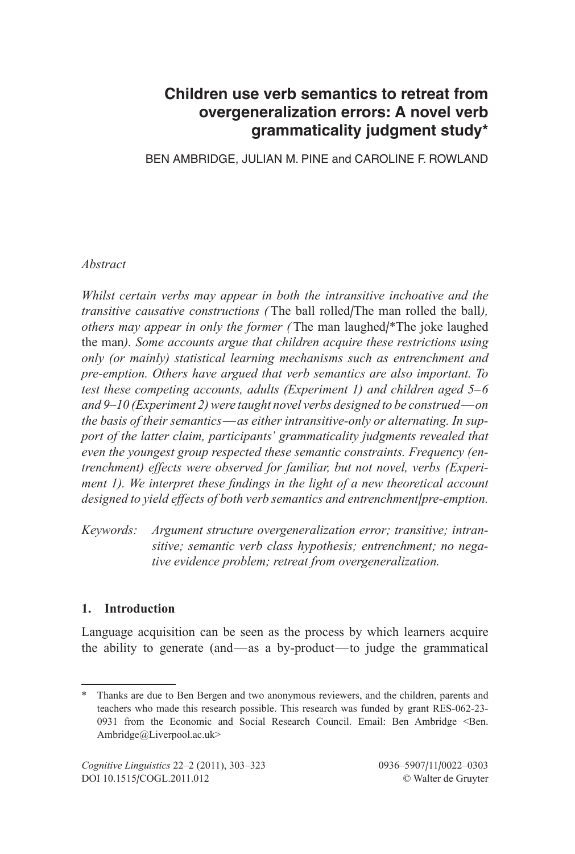# **Children use verb semantics to retreat from overgeneralization errors: A novel verb grammaticality judgment study\***

BEN AMBRIDGE, JULIAN M. PINE and CAROLINE F. ROWLAND

#### *Abstract*

*Whilst certain verbs may appear in both the intransitive inchoative and the transitive causative constructions (*The ball rolled/The man rolled the ball*), others may appear in only the former (*The man laughed/\*The joke laughed the man*). Some accounts argue that children acquire these restrictions using only (or mainly) statistical learning mechanisms such as entrenchment and pre-emption. Others have argued that verb semantics are also important. To test these competing accounts, adults (Experiment 1) and children aged 5*–*6 and 9*–*10 (Experiment 2) were taught novel verbs designed to be construed*—*on the basis of their semantics*—*as either intransitive-only or alternating. In support of the latter claim, participants' grammaticality judgments revealed that even the youngest group respected these semantic constraints. Frequency (entrenchment) effects were observed for familiar, but not novel, verbs (Experiment 1). We interpret these findings in the light of a new theoretical account designed to yield effects of both verb semantics and entrenchment/pre-emption.*

*Keywords: Argument structure overgeneralization error; transitive; intransitive; semantic verb class hypothesis; entrenchment; no negative evidence problem; retreat from overgeneralization.*

#### **1. Introduction**

Language acquisition can be seen as the process by which learners acquire the ability to generate (and — as a by-product — to judge the grammatical

<sup>\*</sup> Thanks are due to Ben Bergen and two anonymous reviewers, and the children, parents and teachers who made this research possible. This research was funded by grant RES-062-23- 0931 from the Economic and Social Research Council. Email: Ben Ambridge <Ben. Ambridge@Liverpool.ac.uk>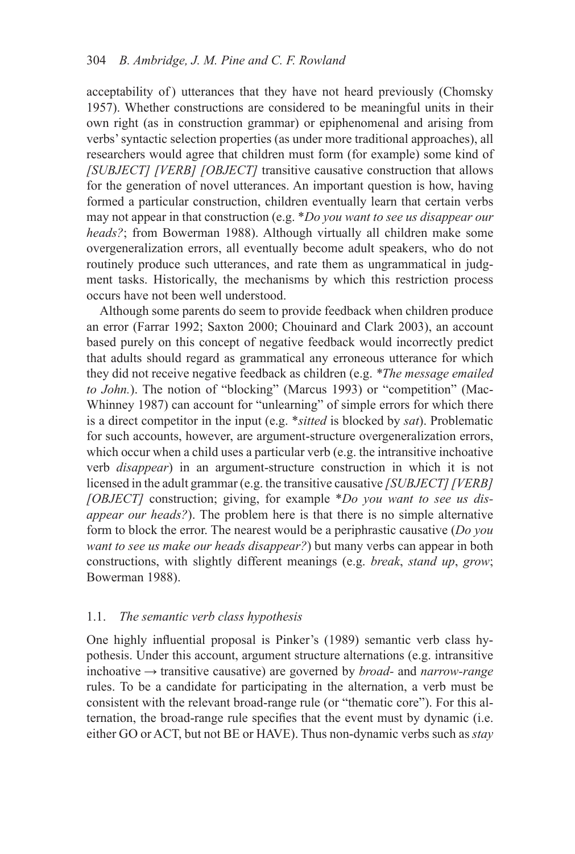acceptability of) utterances that they have not heard previously (Chomsky 1957). Whether constructions are considered to be meaningful units in their own right (as in construction grammar) or epiphenomenal and arising from verbs' syntactic selection properties (as under more traditional approaches), all researchers would agree that children must form (for example) some kind of *[SUBJECT] [VERB] [OBJECT]* transitive causative construction that allows for the generation of novel utterances. An important question is how, having formed a particular construction, children eventually learn that certain verbs may not appear in that construction (e.g. \**Do you want to see us disappear our heads?*; from Bowerman 1988). Although virtually all children make some overgeneralization errors, all eventually become adult speakers, who do not routinely produce such utterances, and rate them as ungrammatical in judgment tasks. Historically, the mechanisms by which this restriction process occurs have not been well understood.

Although some parents do seem to provide feedback when children produce an error (Farrar 1992; Saxton 2000; Chouinard and Clark 2003), an account based purely on this concept of negative feedback would incorrectly predict that adults should regard as grammatical any erroneous utterance for which they did not receive negative feedback as children (e.g. *\*The message emailed to John.*). The notion of "blocking" (Marcus 1993) or "competition" (Mac-Whinney 1987) can account for "unlearning" of simple errors for which there is a direct competitor in the input (e.g. \**sitted* is blocked by *sat*). Problematic for such accounts, however, are argument-structure overgeneralization errors, which occur when a child uses a particular verb (e.g. the intransitive inchoative verb *disappear*) in an argument-structure construction in which it is not licensed in the adult grammar (e.g. the transitive causative *[SUBJECT] [VERB] [OBJECT]* construction; giving, for example \**Do you want to see us disappear our heads?*). The problem here is that there is no simple alternative form to block the error. The nearest would be a periphrastic causative (*Do you want to see us make our heads disappear?*) but many verbs can appear in both constructions, with slightly different meanings (e.g. *break*, *stand up*, *grow*; Bowerman 1988).

#### 1.1. *The semantic verb class hypothesis*

One highly influential proposal is Pinker's (1989) semantic verb class hypothesis. Under this account, argument structure alternations (e.g. intransitive inchoative → transitive causative) are governed by *broad-* and *narrow-range* rules. To be a candidate for participating in the alternation, a verb must be consistent with the relevant broad-range rule (or "thematic core"). For this alternation, the broad-range rule specifies that the event must by dynamic (i.e. either GO or ACT, but not BE or HAVE). Thus non-dynamic verbs such as *stay*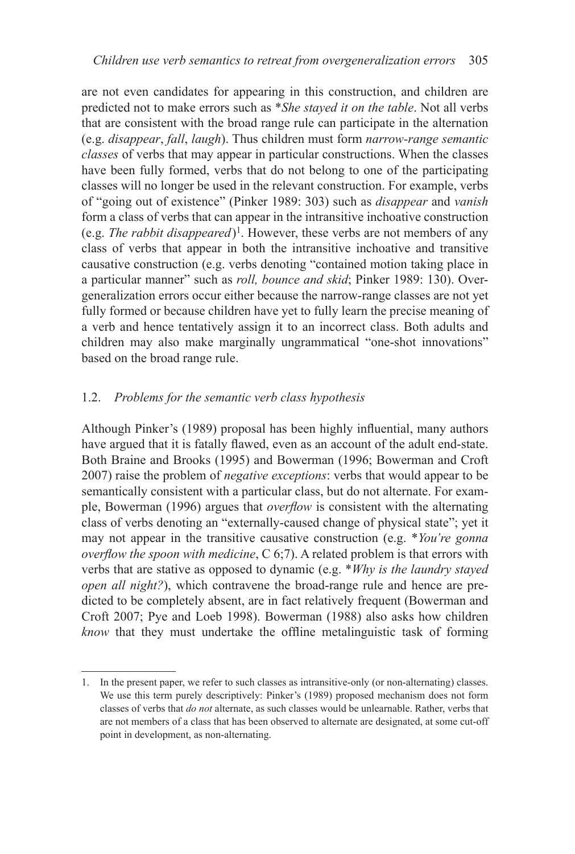are not even candidates for appearing in this construction, and children are predicted not to make errors such as \**She stayed it on the table*. Not all verbs that are consistent with the broad range rule can participate in the alternation (e.g. *disappear*, *fall*, *laugh*). Thus children must form *narrow-range semantic classes* of verbs that may appear in particular constructions. When the classes have been fully formed, verbs that do not belong to one of the participating classes will no longer be used in the relevant construction. For example, verbs of "going out of existence" (Pinker 1989: 303) such as *disappear* and *vanish* form a class of verbs that can appear in the intransitive inchoative construction (e.g. *The rabbit disappeared*)1. However, these verbs are not members of any class of verbs that appear in both the intransitive inchoative and transitive causative construction (e.g. verbs denoting "contained motion taking place in a particular manner" such as *roll, bounce and skid*; Pinker 1989: 130). Overgeneralization errors occur either because the narrow-range classes are not yet fully formed or because children have yet to fully learn the precise meaning of a verb and hence tentatively assign it to an incorrect class. Both adults and children may also make marginally ungrammatical "one-shot innovations" based on the broad range rule.

### 1.2. *Problems for the semantic verb class hypothesis*

Although Pinker's (1989) proposal has been highly influential, many authors have argued that it is fatally flawed, even as an account of the adult end-state. Both Braine and Brooks (1995) and Bowerman (1996; Bowerman and Croft 2007) raise the problem of *negative exceptions*: verbs that would appear to be semantically consistent with a particular class, but do not alternate. For example, Bowerman (1996) argues that *overflow* is consistent with the alternating class of verbs denoting an "externally-caused change of physical state"; yet it may not appear in the transitive causative construction (e.g. \**You're gonna overflow the spoon with medicine*, C 6;7). A related problem is that errors with verbs that are stative as opposed to dynamic (e.g. \**Why is the laundry stayed open all night?*), which contravene the broad-range rule and hence are predicted to be completely absent, are in fact relatively frequent (Bowerman and Croft 2007; Pye and Loeb 1998). Bowerman (1988) also asks how children *know* that they must undertake the offline metalinguistic task of forming

<sup>1.</sup> In the present paper, we refer to such classes as intransitive-only (or non-alternating) classes. We use this term purely descriptively: Pinker's (1989) proposed mechanism does not form classes of verbs that *do not* alternate, as such classes would be unlearnable. Rather, verbs that are not members of a class that has been observed to alternate are designated, at some cut-off point in development, as non-alternating.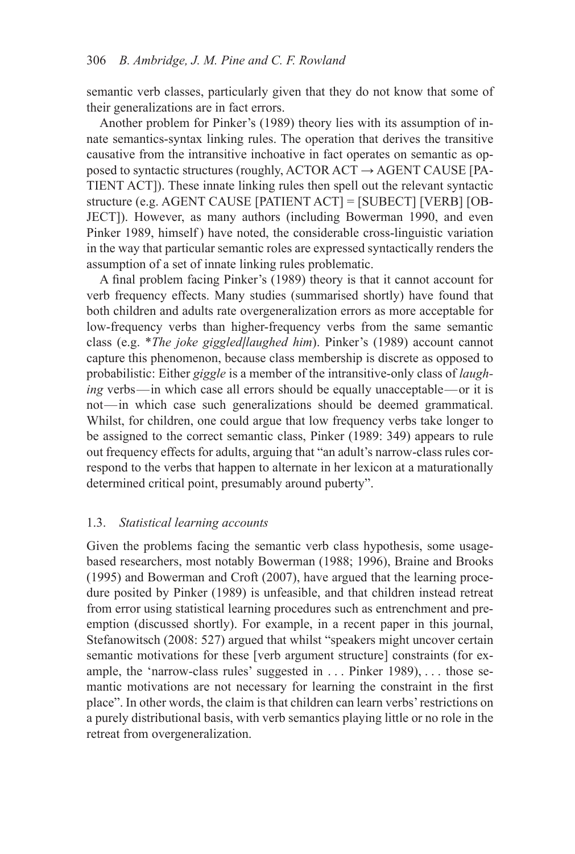semantic verb classes, particularly given that they do not know that some of their generalizations are in fact errors.

Another problem for Pinker's (1989) theory lies with its assumption of innate semantics-syntax linking rules. The operation that derives the transitive causative from the intransitive inchoative in fact operates on semantic as opposed to syntactic structures (roughly, ACTOR ACT  $\rightarrow$  AGENT CAUSE [PA-TIENT ACT]). These innate linking rules then spell out the relevant syntactic structure (e.g. AGENT CAUSE [PATIENT ACT] = [SUBECT] [VERB] [OB-JECT]). However, as many authors (including Bowerman 1990, and even Pinker 1989, himself  ) have noted, the considerable cross-linguistic variation in the way that particular semantic roles are expressed syntactically renders the assumption of a set of innate linking rules problematic.

A final problem facing Pinker's (1989) theory is that it cannot account for verb frequency effects. Many studies (summarised shortly) have found that both children and adults rate overgeneralization errors as more acceptable for low-frequency verbs than higher-frequency verbs from the same semantic class (e.g. \**The joke giggled/laughed him*). Pinker's (1989) account cannot capture this phenomenon, because class membership is discrete as opposed to probabilistic: Either *giggle* is a member of the intransitive-only class of *laughing* verbs—in which case all errors should be equally unacceptable—or it is not—in which case such generalizations should be deemed grammatical. Whilst, for children, one could argue that low frequency verbs take longer to be assigned to the correct semantic class, Pinker (1989: 349) appears to rule out frequency effects for adults, arguing that "an adult's narrow-class rules correspond to the verbs that happen to alternate in her lexicon at a maturationally determined critical point, presumably around puberty".

#### 1.3. *Statistical learning accounts*

Given the problems facing the semantic verb class hypothesis, some usagebased researchers, most notably Bowerman (1988; 1996), Braine and Brooks (1995) and Bowerman and Croft (2007), have argued that the learning procedure posited by Pinker (1989) is unfeasible, and that children instead retreat from error using statistical learning procedures such as entrenchment and preemption (discussed shortly). For example, in a recent paper in this journal, Stefanowitsch (2008: 527) argued that whilst "speakers might uncover certain semantic motivations for these [verb argument structure] constraints (for example, the 'narrow-class rules' suggested in . . . Pinker 1989), . . . those semantic motivations are not necessary for learning the constraint in the first place". In other words, the claim is that children can learn verbs' restrictions on a purely distributional basis, with verb semantics playing little or no role in the retreat from overgeneralization.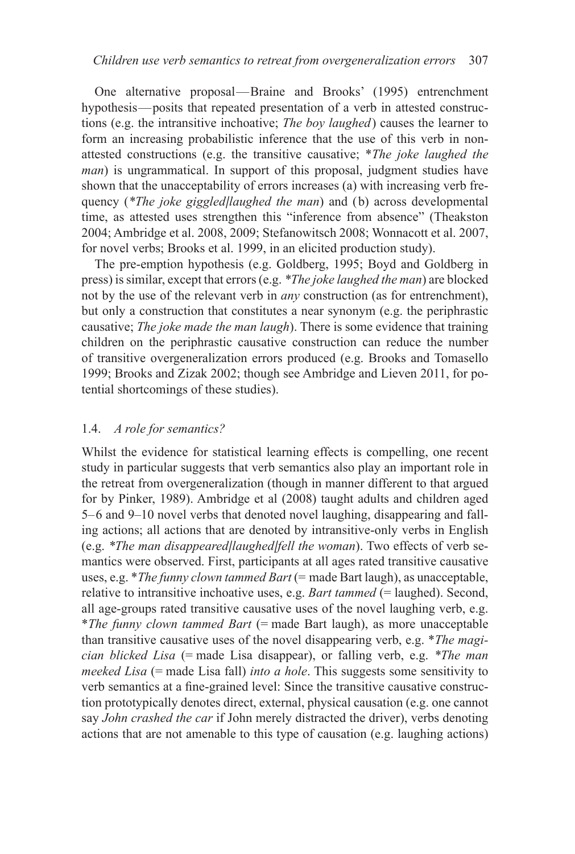One alternative proposal — Braine and Brooks' (1995) entrenchment hypothesis — posits that repeated presentation of a verb in attested constructions (e.g. the intransitive inchoative; *The boy laughed*) causes the learner to form an increasing probabilistic inference that the use of this verb in nonattested constructions (e.g. the transitive causative; \**The joke laughed the man*) is ungrammatical. In support of this proposal, judgment studies have shown that the unacceptability of errors increases (a) with increasing verb frequency (*\*The joke giggled/laughed the man*) and ( b) across developmental time, as attested uses strengthen this "inference from absence" (Theakston 2004; Ambridge et al. 2008, 2009; Stefanowitsch 2008; Wonnacott et al. 2007, for novel verbs; Brooks et al. 1999, in an elicited production study).

The pre-emption hypothesis (e.g. Goldberg, 1995; Boyd and Goldberg in press) is similar, except that errors (e.g. *\*The joke laughed the man*) are blocked not by the use of the relevant verb in *any* construction (as for entrenchment), but only a construction that constitutes a near synonym (e.g. the periphrastic causative; *The joke made the man laugh*). There is some evidence that training children on the periphrastic causative construction can reduce the number of transitive overgeneralization errors produced (e.g. Brooks and Tomasello 1999; Brooks and Zizak 2002; though see Ambridge and Lieven 2011, for potential shortcomings of these studies).

#### 1.4. *A role for semantics?*

Whilst the evidence for statistical learning effects is compelling, one recent study in particular suggests that verb semantics also play an important role in the retreat from overgeneralization (though in manner different to that argued for by Pinker, 1989). Ambridge et al (2008) taught adults and children aged 5– 6 and 9–10 novel verbs that denoted novel laughing, disappearing and falling actions; all actions that are denoted by intransitive-only verbs in English (e.g. *\*The man disappeared/laughed/fell the woman*). Two effects of verb semantics were observed. First, participants at all ages rated transitive causative uses, e.g. \**The funny clown tammed Bart* (= made Bart laugh), as unacceptable, relative to intransitive inchoative uses, e.g. *Bart tammed* (= laughed). Second, all age-groups rated transitive causative uses of the novel laughing verb, e.g. \**The funny clown tammed Bart* (= made Bart laugh), as more unacceptable than transitive causative uses of the novel disappearing verb, e.g. \**The magician blicked Lisa* (= made Lisa disappear), or falling verb, e.g. *\*The man meeked Lisa* (= made Lisa fall) *into a hole*. This suggests some sensitivity to verb semantics at a fine-grained level: Since the transitive causative construction prototypically denotes direct, external, physical causation (e.g. one cannot say *John crashed the car* if John merely distracted the driver), verbs denoting actions that are not amenable to this type of causation (e.g. laughing actions)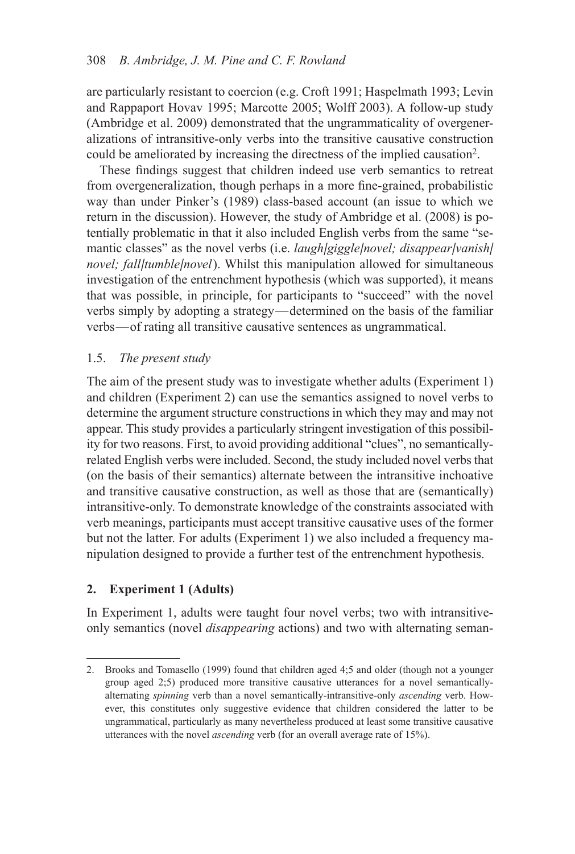are particularly resistant to coercion (e.g. Croft 1991; Haspelmath 1993; Levin and Rappaport Hovav 1995; Marcotte 2005; Wolff 2003). A follow-up study (Ambridge et al. 2009) demonstrated that the ungrammaticality of overgeneralizations of intransitive-only verbs into the transitive causative construction could be ameliorated by increasing the directness of the implied causation2.

These findings suggest that children indeed use verb semantics to retreat from overgeneralization, though perhaps in a more fine-grained, probabilistic way than under Pinker's (1989) class-based account (an issue to which we return in the discussion). However, the study of Ambridge et al. (2008) is potentially problematic in that it also included English verbs from the same "semantic classes" as the novel verbs (i.e. *laugh*/*giggle*/*novel; disappear/vanish*/ *novel; fall/tumble/novel*). Whilst this manipulation allowed for simultaneous investigation of the entrenchment hypothesis (which was supported), it means that was possible, in principle, for participants to "succeed" with the novel verbs simply by adopting a strategy — determined on the basis of the familiar verbs — of rating all transitive causative sentences as ungrammatical.

### 1.5. *The present study*

The aim of the present study was to investigate whether adults (Experiment 1) and children (Experiment 2) can use the semantics assigned to novel verbs to determine the argument structure constructions in which they may and may not appear. This study provides a particularly stringent investigation of this possibility for two reasons. First, to avoid providing additional "clues", no semanticallyrelated English verbs were included. Second, the study included novel verbs that (on the basis of their semantics) alternate between the intransitive inchoative and transitive causative construction, as well as those that are (semantically) intransitive-only. To demonstrate knowledge of the constraints associated with verb meanings, participants must accept transitive causative uses of the former but not the latter. For adults (Experiment 1) we also included a frequency manipulation designed to provide a further test of the entrenchment hypothesis.

# **2. Experiment 1 (Adults)**

In Experiment 1, adults were taught four novel verbs; two with intransitiveonly semantics (novel *disappearing* actions) and two with alternating seman-

<sup>2.</sup> Brooks and Tomasello (1999) found that children aged 4;5 and older (though not a younger group aged 2;5) produced more transitive causative utterances for a novel semanticallyalternating *spinning* verb than a novel semantically-intransitive-only *ascending* verb. However, this constitutes only suggestive evidence that children considered the latter to be ungrammatical, particularly as many nevertheless produced at least some transitive causative utterances with the novel *ascending* verb (for an overall average rate of 15%).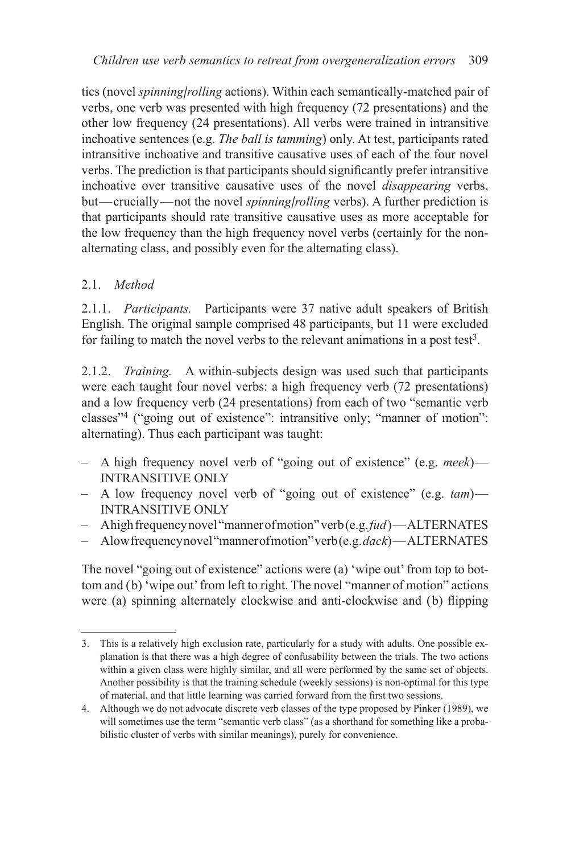tics (novel *spinning/rolling* actions). Within each semantically-matched pair of verbs, one verb was presented with high frequency (72 presentations) and the other low frequency (24 presentations). All verbs were trained in intransitive inchoative sentences (e.g. *The ball is tamming*) only. At test, participants rated intransitive inchoative and transitive causative uses of each of the four novel verbs. The prediction is that participants should significantly prefer intransitive inchoative over transitive causative uses of the novel *disappearing* verbs, but — crucially — not the novel *spinning/rolling* verbs). A further prediction is that participants should rate transitive causative uses as more acceptable for the low frequency than the high frequency novel verbs (certainly for the nonalternating class, and possibly even for the alternating class).

# 2.1. *Method*

2.1.1. *Participants.* Participants were 37 native adult speakers of British English. The original sample comprised 48 participants, but 11 were excluded for failing to match the novel verbs to the relevant animations in a post test<sup>3</sup>.

2.1.2. *Training.* A within-subjects design was used such that participants were each taught four novel verbs: a high frequency verb (72 presentations) and a low frequency verb (24 presentations) from each of two "semantic verb classes"4 ("going out of existence": intransitive only; "manner of motion": alternating). Thus each participant was taught:

- A high frequency novel verb of "going out of existence" (e.g. *meek*) —  INTRANSITIVE ONLY
- A low frequency novel verb of "going out of existence" (e.g. *tam*) —  INTRANSITIVE ONLY
- A high frequency novel "manner of motion" verb (e.g. *fud*) — ALTERNATES
- A low frequency novel "manner of motion" verb (e.g. *dack*) — ALTERNATES

The novel "going out of existence" actions were (a) 'wipe out' from top to bottom and ( b) 'wipe out' from left to right. The novel "manner of motion" actions were (a) spinning alternately clockwise and anti-clockwise and (b) flipping

<sup>3.</sup> This is a relatively high exclusion rate, particularly for a study with adults. One possible explanation is that there was a high degree of confusability between the trials. The two actions within a given class were highly similar, and all were performed by the same set of objects. Another possibility is that the training schedule (weekly sessions) is non-optimal for this type of material, and that little learning was carried forward from the first two sessions.

<sup>4.</sup> Although we do not advocate discrete verb classes of the type proposed by Pinker (1989), we will sometimes use the term "semantic verb class" (as a shorthand for something like a probabilistic cluster of verbs with similar meanings), purely for convenience.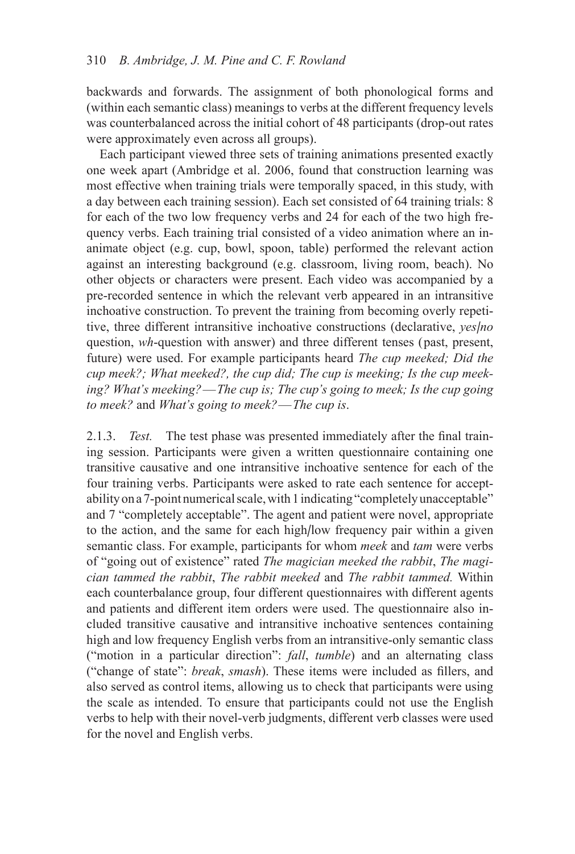backwards and forwards. The assignment of both phonological forms and (within each semantic class) meanings to verbs at the different frequency levels was counterbalanced across the initial cohort of 48 participants (drop-out rates were approximately even across all groups).

Each participant viewed three sets of training animations presented exactly one week apart (Ambridge et al. 2006, found that construction learning was most effective when training trials were temporally spaced, in this study, with a day between each training session). Each set consisted of 64 training trials: 8 for each of the two low frequency verbs and 24 for each of the two high frequency verbs. Each training trial consisted of a video animation where an inanimate object (e.g. cup, bowl, spoon, table) performed the relevant action against an interesting background (e.g. classroom, living room, beach). No other objects or characters were present. Each video was accompanied by a pre-recorded sentence in which the relevant verb appeared in an intransitive inchoative construction. To prevent the training from becoming overly repetitive, three different intransitive inchoative constructions (declarative, *yes/no* question, *wh*-question with answer) and three different tenses ( past, present, future) were used. For example participants heard *The cup meeked; Did the cup meek?; What meeked?, the cup did; The cup is meeking; Is the cup meeking? What's meeking?*—*The cup is; The cup's going to meek; Is the cup going to meek?* and *What's going to meek?*—*The cup is*.

2.1.3. *Test.* The test phase was presented immediately after the final training session. Participants were given a written questionnaire containing one transitive causative and one intransitive inchoative sentence for each of the four training verbs. Participants were asked to rate each sentence for acceptability on a 7-point numerical scale, with 1 indicating "completely unacceptable" and 7 "completely acceptable". The agent and patient were novel, appropriate to the action, and the same for each high/low frequency pair within a given semantic class. For example, participants for whom *meek* and *tam* were verbs of "going out of existence" rated *The magician meeked the rabbit*, *The magician tammed the rabbit*, *The rabbit meeked* and *The rabbit tammed.* Within each counterbalance group, four different questionnaires with different agents and patients and different item orders were used. The questionnaire also included transitive causative and intransitive inchoative sentences containing high and low frequency English verbs from an intransitive-only semantic class ("motion in a particular direction": *fall*, *tumble*) and an alternating class ("change of state": *break*, *smash*). These items were included as fillers, and also served as control items, allowing us to check that participants were using the scale as intended. To ensure that participants could not use the English verbs to help with their novel-verb judgments, different verb classes were used for the novel and English verbs.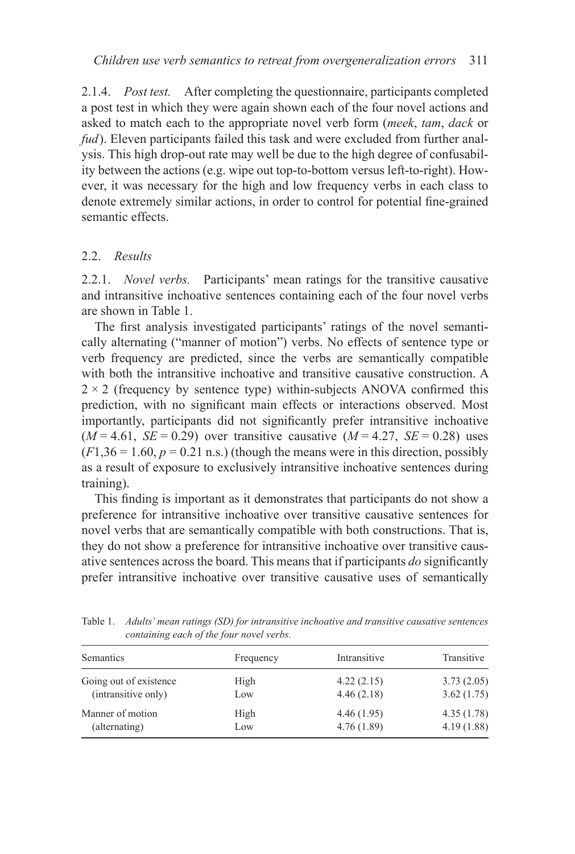2.1.4. *Post test.* After completing the questionnaire, participants completed a post test in which they were again shown each of the four novel actions and asked to match each to the appropriate novel verb form (*meek*, *tam*, *dack* or *fud*). Eleven participants failed this task and were excluded from further analysis. This high drop-out rate may well be due to the high degree of confusability between the actions (e.g. wipe out top-to-bottom versus left-to-right). However, it was necessary for the high and low frequency verbs in each class to denote extremely similar actions, in order to control for potential fine-grained semantic effects.

#### 2.2. *Results*

2.2.1. *Novel verbs.* Participants' mean ratings for the transitive causative and intransitive inchoative sentences containing each of the four novel verbs are shown in Table 1.

The first analysis investigated participants' ratings of the novel semantically alternating ("manner of motion") verbs. No effects of sentence type or verb frequency are predicted, since the verbs are semantically compatible with both the intransitive inchoative and transitive causative construction. A  $2 \times 2$  (frequency by sentence type) within-subjects ANOVA confirmed this prediction, with no significant main effects or interactions observed. Most importantly, participants did not significantly prefer intransitive inchoative  $(M = 4.61, SE = 0.29)$  over transitive causative  $(M = 4.27, SE = 0.28)$  uses  $(F1,36 = 1.60, p = 0.21 \text{ n.s.})$  (though the means were in this direction, possibly as a result of exposure to exclusively intransitive inchoative sentences during training).

This finding is important as it demonstrates that participants do not show a preference for intransitive inchoative over transitive causative sentences for novel verbs that are semantically compatible with both constructions. That is, they do not show a preference for intransitive inchoative over transitive causative sentences across the board. This means that if participants *do* significantly prefer intransitive inchoative over transitive causative uses of semantically

Table 1. *Adults' mean ratings (SD) for intransitive inchoative and transitive causative sentences containing each of the four novel verbs.*

| Semantics              | Frequency | Intransitive | Transitive |
|------------------------|-----------|--------------|------------|
| Going out of existence | High      | 4.22(2.15)   | 3.73(2.05) |
| (intransitive only)    | Low       | 4.46(2.18)   | 3.62(1.75) |
| Manner of motion       | High      | 4.46(1.95)   | 4.35(1.78) |
| (alternating)          | Low       | 4.76(1.89)   | 4.19(1.88) |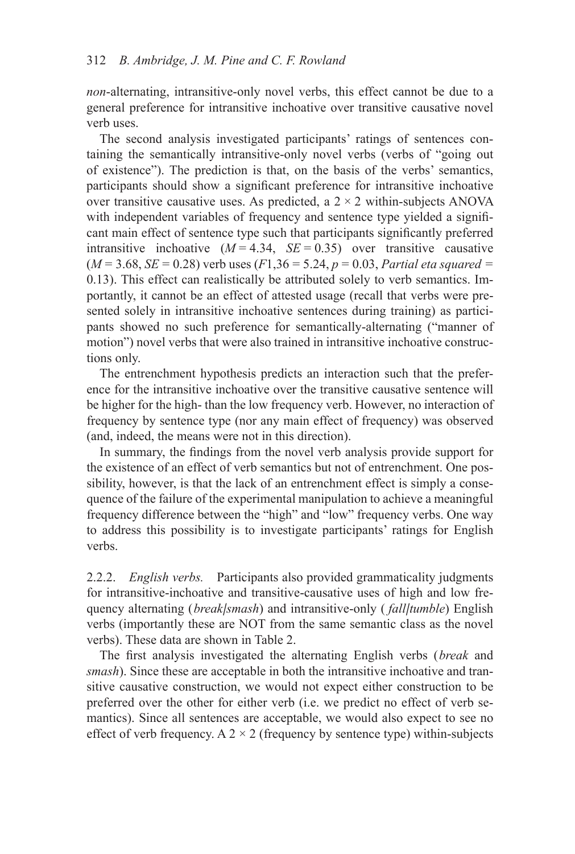*non*-alternating, intransitive-only novel verbs, this effect cannot be due to a general preference for intransitive inchoative over transitive causative novel verb uses.

The second analysis investigated participants' ratings of sentences containing the semantically intransitive-only novel verbs (verbs of "going out of existence"). The prediction is that, on the basis of the verbs' semantics, participants should show a significant preference for intransitive inchoative over transitive causative uses. As predicted, a  $2 \times 2$  within-subjects ANOVA with independent variables of frequency and sentence type yielded a significant main effect of sentence type such that participants significantly preferred intransitive inchoative  $(M = 4.34, SE = 0.35)$  over transitive causative  $(M = 3.68, SE = 0.28)$  verb uses  $(F1.36 = 5.24, p = 0.03, Partial \text{ eta squared} =$ 0.13). This effect can realistically be attributed solely to verb semantics. Importantly, it cannot be an effect of attested usage (recall that verbs were presented solely in intransitive inchoative sentences during training) as participants showed no such preference for semantically-alternating ("manner of motion") novel verbs that were also trained in intransitive inchoative constructions only.

The entrenchment hypothesis predicts an interaction such that the preference for the intransitive inchoative over the transitive causative sentence will be higher for the high- than the low frequency verb. However, no interaction of frequency by sentence type (nor any main effect of frequency) was observed (and, indeed, the means were not in this direction).

In summary, the findings from the novel verb analysis provide support for the existence of an effect of verb semantics but not of entrenchment. One possibility, however, is that the lack of an entrenchment effect is simply a consequence of the failure of the experimental manipulation to achieve a meaningful frequency difference between the "high" and "low" frequency verbs. One way to address this possibility is to investigate participants' ratings for English verbs.

2.2.2. *English verbs.* Participants also provided grammaticality judgments for intransitive-inchoative and transitive-causative uses of high and low frequency alternating (*break/smash*) and intransitive-only (   *fall/tumble*) English verbs (importantly these are NOT from the same semantic class as the novel verbs). These data are shown in Table 2.

The first analysis investigated the alternating English verbs (*break* and *smash*). Since these are acceptable in both the intransitive inchoative and transitive causative construction, we would not expect either construction to be preferred over the other for either verb (i.e. we predict no effect of verb semantics). Since all sentences are acceptable, we would also expect to see no effect of verb frequency. A  $2 \times 2$  (frequency by sentence type) within-subjects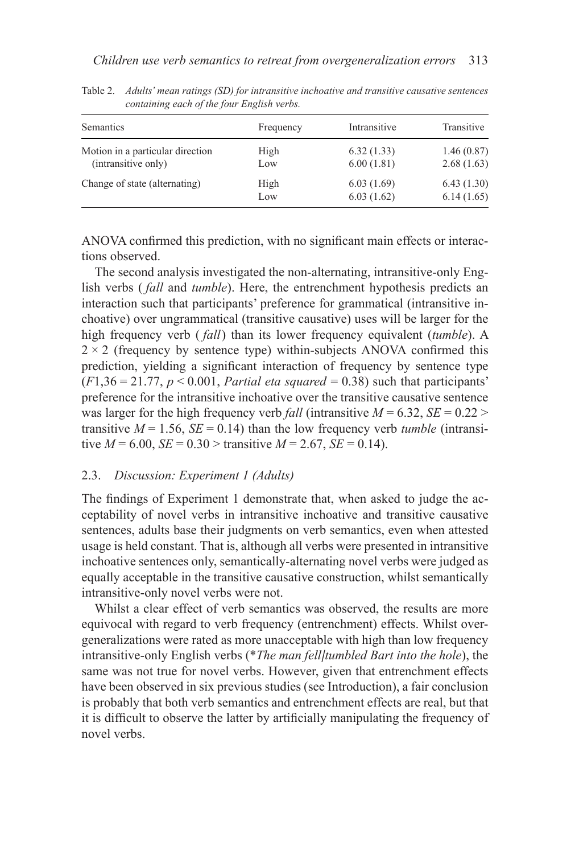| Semantics                        | Frequency | Intransitive | Transitive |
|----------------------------------|-----------|--------------|------------|
| Motion in a particular direction | High      | 6.32(1.33)   | 1.46(0.87) |
| (intransitive only)              | Low       | 6.00(1.81)   | 2.68(1.63) |
| Change of state (alternating)    | High      | 6.03(1.69)   | 6.43(1.30) |
|                                  | Low       | 6.03(1.62)   | 6.14(1.65) |

Table 2. *Adults' mean ratings (SD) for intransitive inchoative and transitive causative sentences containing each of the four English verbs.*

ANOVA confirmed this prediction, with no significant main effects or interactions observed.

The second analysis investigated the non-alternating, intransitive-only English verbs (*fall* and *tumble*). Here, the entrenchment hypothesis predicts an interaction such that participants' preference for grammatical (intransitive inchoative) over ungrammatical (transitive causative) uses will be larger for the high frequency verb (*fall*) than its lower frequency equivalent (*tumble*). A  $2 \times 2$  (frequency by sentence type) within-subjects ANOVA confirmed this prediction, yielding a significant interaction of frequency by sentence type  $(F1,36 = 21.77, p \le 0.001, Partial \text{ eta squared} = 0.38)$  such that participants' preference for the intransitive inchoative over the transitive causative sentence was larger for the high frequency verb *fall* (intransitive  $M = 6.32$ ,  $SE = 0.22$ ) transitive  $M = 1.56$ ,  $SE = 0.14$ ) than the low frequency verb *tumble* (intransitive  $M = 6.00$ ,  $SE = 0.30$  > transitive  $M = 2.67$ ,  $SE = 0.14$ ).

#### 2.3. *Discussion: Experiment 1 (Adults)*

The findings of Experiment 1 demonstrate that, when asked to judge the acceptability of novel verbs in intransitive inchoative and transitive causative sentences, adults base their judgments on verb semantics, even when attested usage is held constant. That is, although all verbs were presented in intransitive inchoative sentences only, semantically-alternating novel verbs were judged as equally acceptable in the transitive causative construction, whilst semantically intransitive-only novel verbs were not.

Whilst a clear effect of verb semantics was observed, the results are more equivocal with regard to verb frequency (entrenchment) effects. Whilst overgeneralizations were rated as more unacceptable with high than low frequency intransitive-only English verbs (\**The man fell/tumbled Bart into the hole*), the same was not true for novel verbs. However, given that entrenchment effects have been observed in six previous studies (see Introduction), a fair conclusion is probably that both verb semantics and entrenchment effects are real, but that it is difficult to observe the latter by artificially manipulating the frequency of novel verbs.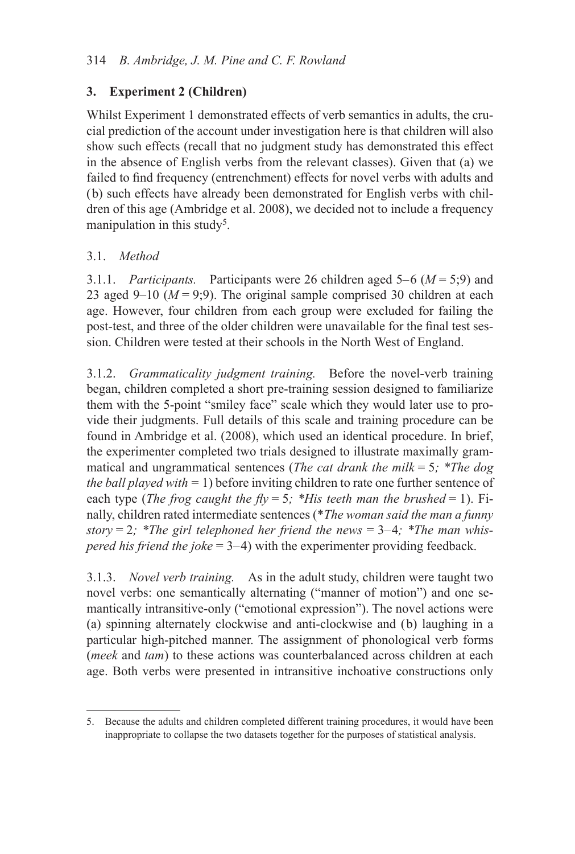### **3. Experiment 2 (Children)**

Whilst Experiment 1 demonstrated effects of verb semantics in adults, the crucial prediction of the account under investigation here is that children will also show such effects (recall that no judgment study has demonstrated this effect in the absence of English verbs from the relevant classes). Given that (a) we failed to find frequency (entrenchment) effects for novel verbs with adults and ( b) such effects have already been demonstrated for English verbs with children of this age (Ambridge et al. 2008), we decided not to include a frequency manipulation in this study<sup>5</sup>.

### 3.1. *Method*

3.1.1. *Participants.* Participants were 26 children aged  $5-6$  ( $M = 5:9$ ) and 23 aged 9–10 ( $M = 9.9$ ). The original sample comprised 30 children at each age. However, four children from each group were excluded for failing the post-test, and three of the older children were unavailable for the final test session. Children were tested at their schools in the North West of England.

3.1.2. *Grammaticality judgment training.* Before the novel-verb training began, children completed a short pre-training session designed to familiarize them with the 5-point "smiley face" scale which they would later use to provide their judgments. Full details of this scale and training procedure can be found in Ambridge et al. (2008), which used an identical procedure. In brief, the experimenter completed two trials designed to illustrate maximally grammatical and ungrammatical sentences (*The cat drank the milk* = 5*; \*The dog the ball played with* = 1) before inviting children to rate one further sentence of each type (*The frog caught the fly* = 5*; \*His teeth man the brushed* = 1). Finally, children rated intermediate sentences (\**The woman said the man a funny*  story = 2; \*The girl telephoned her friend the news =  $3-4$ ; \*The man whis*pered his friend the joke* = 3–4) with the experimenter providing feedback.

3.1.3. *Novel verb training.* As in the adult study, children were taught two novel verbs: one semantically alternating ("manner of motion") and one semantically intransitive-only ("emotional expression"). The novel actions were (a) spinning alternately clockwise and anti-clockwise and ( b) laughing in a particular high-pitched manner. The assignment of phonological verb forms (*meek* and *tam*) to these actions was counterbalanced across children at each age. Both verbs were presented in intransitive inchoative constructions only

<sup>5.</sup> Because the adults and children completed different training procedures, it would have been inappropriate to collapse the two datasets together for the purposes of statistical analysis.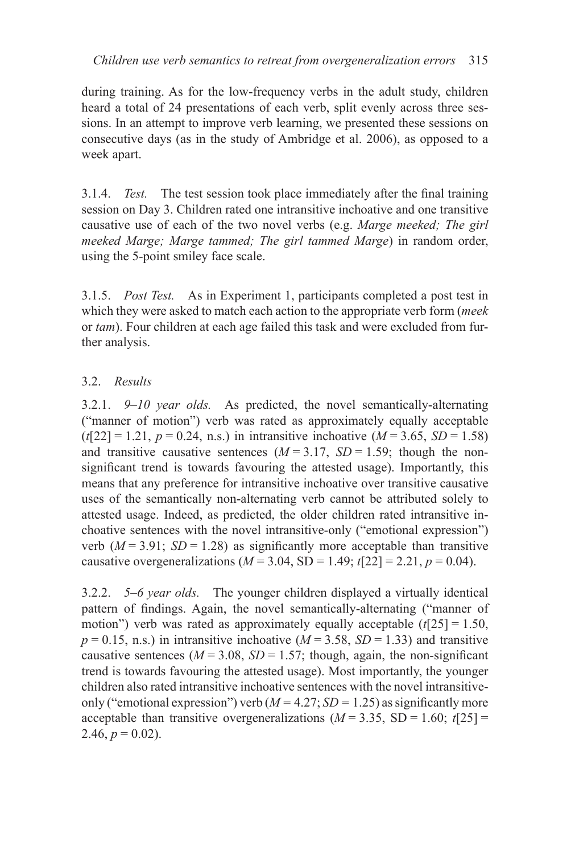during training. As for the low-frequency verbs in the adult study, children heard a total of 24 presentations of each verb, split evenly across three sessions. In an attempt to improve verb learning, we presented these sessions on consecutive days (as in the study of Ambridge et al. 2006), as opposed to a week apart.

3.1.4. *Test.* The test session took place immediately after the final training session on Day 3. Children rated one intransitive inchoative and one transitive causative use of each of the two novel verbs (e.g. *Marge meeked; The girl meeked Marge; Marge tammed; The girl tammed Marge*) in random order, using the 5-point smiley face scale.

3.1.5. *Post Test.* As in Experiment 1, participants completed a post test in which they were asked to match each action to the appropriate verb form (*meek* or *tam*). Four children at each age failed this task and were excluded from further analysis.

# 3.2. *Results*

3.2.1. *9–10 year olds.* As predicted, the novel semantically-alternating ("manner of motion") verb was rated as approximately equally acceptable  $(t[22] = 1.21, p = 0.24, n.s.)$  in intransitive inchoative  $(M = 3.65, SD = 1.58)$ and transitive causative sentences  $(M = 3.17, SD = 1.59$ ; though the nonsignificant trend is towards favouring the attested usage). Importantly, this means that any preference for intransitive inchoative over transitive causative uses of the semantically non-alternating verb cannot be attributed solely to attested usage. Indeed, as predicted, the older children rated intransitive inchoative sentences with the novel intransitive-only ("emotional expression") verb  $(M = 3.91; SD = 1.28)$  as significantly more acceptable than transitive causative overgeneralizations ( $M = 3.04$ , SD = 1.49;  $t[22] = 2.21$ ,  $p = 0.04$ ).

3.2.2. *5–6 year olds.* The younger children displayed a virtually identical pattern of findings. Again, the novel semantically-alternating ("manner of motion") verb was rated as approximately equally acceptable  $(t[25] = 1.50$ ,  $p = 0.15$ , n.s.) in intransitive inchoative ( $M = 3.58$ ,  $SD = 1.33$ ) and transitive causative sentences ( $M = 3.08$ ,  $SD = 1.57$ ; though, again, the non-significant trend is towards favouring the attested usage). Most importantly, the younger children also rated intransitive inchoative sentences with the novel intransitiveonly ("emotional expression") verb  $(M = 4.27; SD = 1.25)$  as significantly more acceptable than transitive overgeneralizations  $(M = 3.35, SD = 1.60; t[25] =$ 2.46,  $p = 0.02$ ).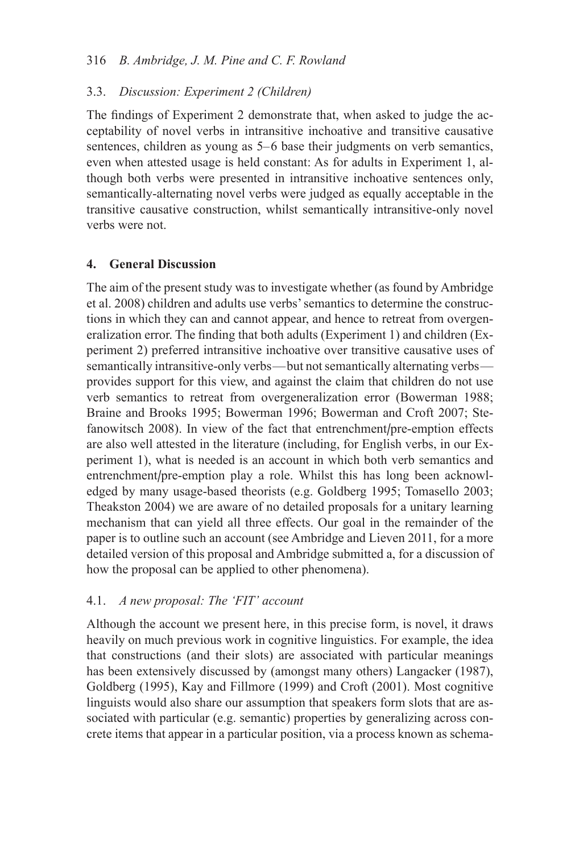### 3.3. *Discussion: Experiment 2 (Children)*

The findings of Experiment 2 demonstrate that, when asked to judge the acceptability of novel verbs in intransitive inchoative and transitive causative sentences, children as young as  $5-6$  base their judgments on verb semantics, even when attested usage is held constant: As for adults in Experiment 1, although both verbs were presented in intransitive inchoative sentences only, semantically-alternating novel verbs were judged as equally acceptable in the transitive causative construction, whilst semantically intransitive-only novel verbs were not.

### **4. General Discussion**

The aim of the present study was to investigate whether (as found by Ambridge et al. 2008) children and adults use verbs' semantics to determine the constructions in which they can and cannot appear, and hence to retreat from overgeneralization error. The finding that both adults (Experiment 1) and children (Experiment 2) preferred intransitive inchoative over transitive causative uses of semantically intransitive-only verbs—but not semantically alternating verbs provides support for this view, and against the claim that children do not use verb semantics to retreat from overgeneralization error (Bowerman 1988; Braine and Brooks 1995; Bowerman 1996; Bowerman and Croft 2007; Stefanowitsch 2008). In view of the fact that entrenchment/pre-emption effects are also well attested in the literature (including, for English verbs, in our Experiment 1), what is needed is an account in which both verb semantics and entrenchment/pre-emption play a role. Whilst this has long been acknowledged by many usage-based theorists (e.g. Goldberg 1995; Tomasello 2003; Theakston 2004) we are aware of no detailed proposals for a unitary learning mechanism that can yield all three effects. Our goal in the remainder of the paper is to outline such an account (see Ambridge and Lieven 2011, for a more detailed version of this proposal and Ambridge submitted a, for a discussion of how the proposal can be applied to other phenomena).

### 4.1. *A new proposal: The 'FIT' account*

Although the account we present here, in this precise form, is novel, it draws heavily on much previous work in cognitive linguistics. For example, the idea that constructions (and their slots) are associated with particular meanings has been extensively discussed by (amongst many others) Langacker (1987), Goldberg (1995), Kay and Fillmore (1999) and Croft (2001). Most cognitive linguists would also share our assumption that speakers form slots that are associated with particular (e.g. semantic) properties by generalizing across concrete items that appear in a particular position, via a process known as schema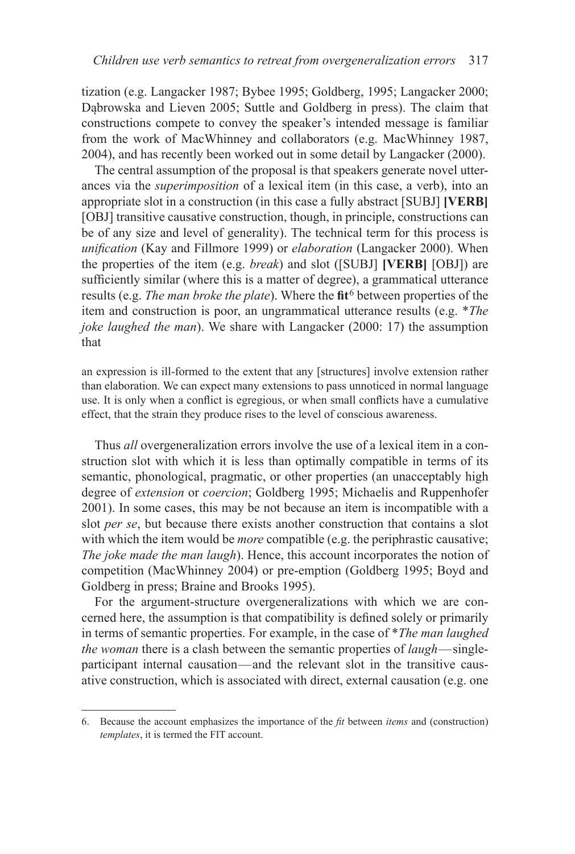tization (e.g. Langacker 1987; Bybee 1995; Goldberg, 1995; Langacker 2000; Dąbrowska and Lieven 2005; Suttle and Goldberg in press). The claim that constructions compete to convey the speaker's intended message is familiar from the work of MacWhinney and collaborators (e.g. MacWhinney 1987, 2004), and has recently been worked out in some detail by Langacker (2000).

The central assumption of the proposal is that speakers generate novel utterances via the *superimposition* of a lexical item (in this case, a verb), into an appropriate slot in a construction (in this case a fully abstract [SUBJ] **[VERB]** [OBJ] transitive causative construction, though, in principle, constructions can be of any size and level of generality). The technical term for this process is *unification* (Kay and Fillmore 1999) or *elaboration* (Langacker 2000). When the properties of the item (e.g. *break*) and slot ([SUBJ] **[VERB]** [OBJ]) are sufficiently similar (where this is a matter of degree), a grammatical utterance results (e.g. *The man broke the plate*). Where the **fit**<sup>6</sup> between properties of the item and construction is poor, an ungrammatical utterance results (e.g. \**The joke laughed the man*). We share with Langacker (2000: 17) the assumption that

an expression is ill-formed to the extent that any [structures] involve extension rather than elaboration. We can expect many extensions to pass unnoticed in normal language use. It is only when a conflict is egregious, or when small conflicts have a cumulative effect, that the strain they produce rises to the level of conscious awareness.

Thus *all* overgeneralization errors involve the use of a lexical item in a construction slot with which it is less than optimally compatible in terms of its semantic, phonological, pragmatic, or other properties (an unacceptably high degree of *extension* or *coercion*; Goldberg 1995; Michaelis and Ruppenhofer 2001). In some cases, this may be not because an item is incompatible with a slot *per se*, but because there exists another construction that contains a slot with which the item would be *more* compatible (e.g. the periphrastic causative; *The joke made the man laugh*). Hence, this account incorporates the notion of competition (MacWhinney 2004) or pre-emption (Goldberg 1995; Boyd and Goldberg in press; Braine and Brooks 1995).

For the argument-structure overgeneralizations with which we are concerned here, the assumption is that compatibility is defined solely or primarily in terms of semantic properties. For example, in the case of \**The man laughed the woman* there is a clash between the semantic properties of *laugh* — singleparticipant internal causation — and the relevant slot in the transitive causative construction, which is associated with direct, external causation (e.g. one

<sup>6.</sup> Because the account emphasizes the importance of the *fit* between *items* and (construction) *templates*, it is termed the FIT account.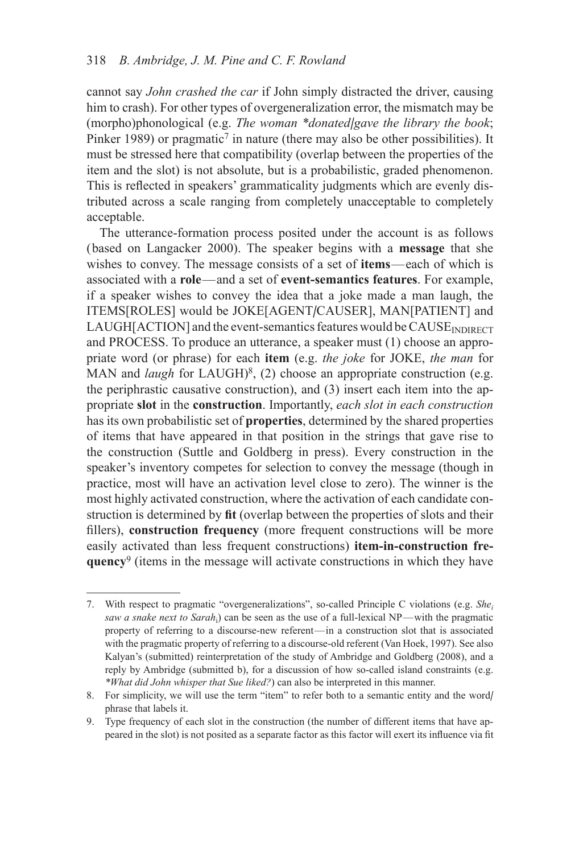cannot say *John crashed the car* if John simply distracted the driver, causing him to crash). For other types of overgeneralization error, the mismatch may be (morpho)phonological (e.g. *The woman \*donated/gave the library the book*; Pinker 1989) or pragmatic<sup>7</sup> in nature (there may also be other possibilities). It must be stressed here that compatibility (overlap between the properties of the item and the slot) is not absolute, but is a probabilistic, graded phenomenon. This is reflected in speakers' grammaticality judgments which are evenly distributed across a scale ranging from completely unacceptable to completely acceptable.

The utterance-formation process posited under the account is as follows ( based on Langacker 2000). The speaker begins with a **message** that she wishes to convey. The message consists of a set of **items** — each of which is associated with a **role**—and a set of **event-semantics features**. For example, if a speaker wishes to convey the idea that a joke made a man laugh, the ITEMS[ROLES] would be JOKE[AGENT/CAUSER], MAN[PATIENT] and LAUGH[ACTION] and the event-semantics features would be  $CAUSE<sub>INDFET</sub>$ and PROCESS. To produce an utterance, a speaker must (1) choose an appropriate word (or phrase) for each **item** (e.g. *the joke* for JOKE, *the man* for MAN and *laugh* for LAUGH)<sup>8</sup>, (2) choose an appropriate construction (e.g. the periphrastic causative construction), and (3) insert each item into the appropriate **slot** in the **construction**. Importantly, *each slot in each construction* has its own probabilistic set of **properties**, determined by the shared properties of items that have appeared in that position in the strings that gave rise to the construction (Suttle and Goldberg in press). Every construction in the speaker's inventory competes for selection to convey the message (though in practice, most will have an activation level close to zero). The winner is the most highly activated construction, where the activation of each candidate construction is determined by **fit** (overlap between the properties of slots and their fillers), **construction frequency** (more frequent constructions will be more easily activated than less frequent constructions) **item-in-construction frequency**<sup>9</sup> (items in the message will activate constructions in which they have

<sup>7.</sup> With respect to pragmatic "overgeneralizations", so-called Principle C violations (e.g. *Shei* saw a snake next to Sarah<sub>i</sub>) can be seen as the use of a full-lexical NP—with the pragmatic property of referring to a discourse-new referent — in a construction slot that is associated with the pragmatic property of referring to a discourse-old referent (Van Hoek, 1997). See also Kalyan's (submitted) reinterpretation of the study of Ambridge and Goldberg (2008), and a reply by Ambridge (submitted b), for a discussion of how so-called island constraints (e.g. *\*What did John whisper that Sue liked?*) can also be interpreted in this manner.

<sup>8.</sup> For simplicity, we will use the term "item" to refer both to a semantic entity and the word/ phrase that labels it.

<sup>9.</sup> Type frequency of each slot in the construction (the number of different items that have appeared in the slot) is not posited as a separate factor as this factor will exert its influence via fit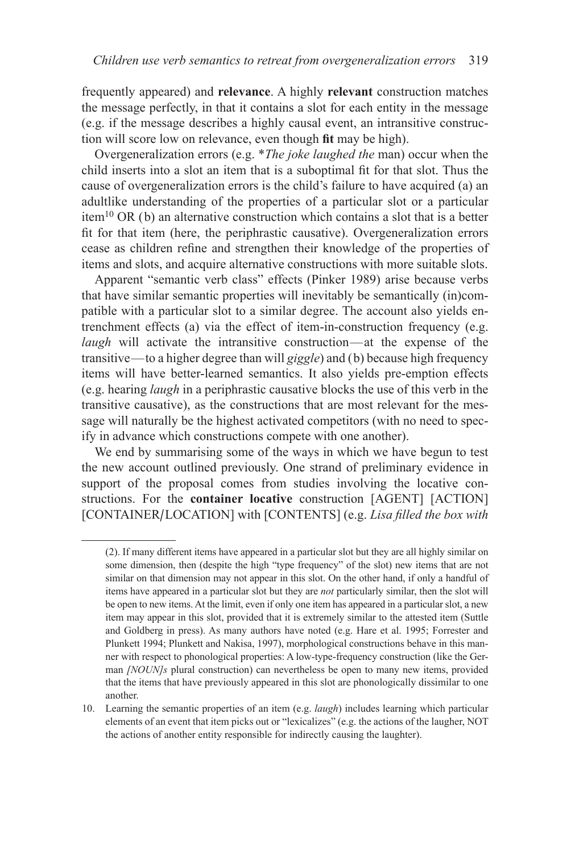frequently appeared) and **relevance**. A highly **relevant** construction matches the message perfectly, in that it contains a slot for each entity in the message (e.g. if the message describes a highly causal event, an intransitive construction will score low on relevance, even though **fit** may be high).

Overgeneralization errors (e.g. \**The joke laughed the* man) occur when the child inserts into a slot an item that is a suboptimal fit for that slot. Thus the cause of overgeneralization errors is the child's failure to have acquired (a) an adultlike understanding of the properties of a particular slot or a particular item<sup>10</sup> OR (b) an alternative construction which contains a slot that is a better fit for that item (here, the periphrastic causative). Overgeneralization errors cease as children refine and strengthen their knowledge of the properties of items and slots, and acquire alternative constructions with more suitable slots.

Apparent "semantic verb class" effects (Pinker 1989) arise because verbs that have similar semantic properties will inevitably be semantically (in)compatible with a particular slot to a similar degree. The account also yields entrenchment effects (a) via the effect of item-in-construction frequency (e.g. *laugh* will activate the intransitive construction—at the expense of the transitive — to a higher degree than will *giggle*) and ( b) because high frequency items will have better-learned semantics. It also yields pre-emption effects (e.g. hearing *laugh* in a periphrastic causative blocks the use of this verb in the transitive causative), as the constructions that are most relevant for the message will naturally be the highest activated competitors (with no need to specify in advance which constructions compete with one another).

We end by summarising some of the ways in which we have begun to test the new account outlined previously. One strand of preliminary evidence in support of the proposal comes from studies involving the locative constructions. For the **container locative** construction [AGENT] [ACTION] [CONTAINER/ LOCATION] with [CONTENTS] (e.g. *Lisa filled the box with* 

<sup>(2).</sup> If many different items have appeared in a particular slot but they are all highly similar on some dimension, then (despite the high "type frequency" of the slot) new items that are not similar on that dimension may not appear in this slot. On the other hand, if only a handful of items have appeared in a particular slot but they are *not* particularly similar, then the slot will be open to new items. At the limit, even if only one item has appeared in a particular slot, a new item may appear in this slot, provided that it is extremely similar to the attested item (Suttle and Goldberg in press). As many authors have noted (e.g. Hare et al. 1995; Forrester and Plunkett 1994; Plunkett and Nakisa, 1997), morphological constructions behave in this manner with respect to phonological properties: A low-type-frequency construction (like the German *[NOUN]s* plural construction) can nevertheless be open to many new items, provided that the items that have previously appeared in this slot are phonologically dissimilar to one another.

<sup>10.</sup> Learning the semantic properties of an item (e.g. *laugh*) includes learning which particular elements of an event that item picks out or "lexicalizes" (e.g. the actions of the laugher, NOT the actions of another entity responsible for indirectly causing the laughter).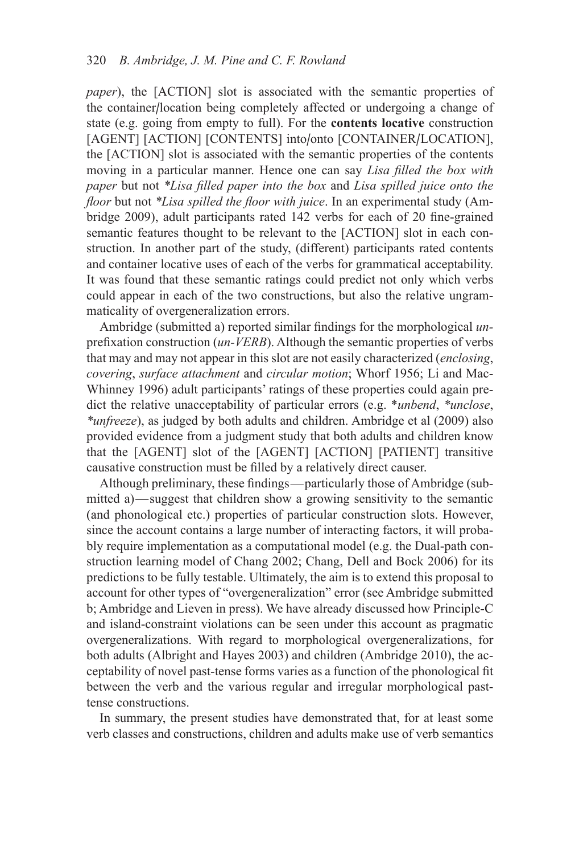*paper*), the [ACTION] slot is associated with the semantic properties of the container/location being completely affected or undergoing a change of state (e.g. going from empty to full). For the **contents locative** construction [AGENT] [ACTION] [CONTENTS] into/onto [CONTAINER/LOCATION], the [ACTION] slot is associated with the semantic properties of the contents moving in a particular manner. Hence one can say *Lisa filled the box with paper* but not *\*Lisa filled paper into the box* and *Lisa spilled juice onto the floor* but not *\*Lisa spilled the floor with juice*. In an experimental study (Ambridge 2009), adult participants rated 142 verbs for each of 20 fine-grained semantic features thought to be relevant to the [ACTION] slot in each construction. In another part of the study, (different) participants rated contents and container locative uses of each of the verbs for grammatical acceptability. It was found that these semantic ratings could predict not only which verbs could appear in each of the two constructions, but also the relative ungrammaticality of overgeneralization errors.

Ambridge (submitted a) reported similar findings for the morphological *un*prefixation construction (*un-VERB*). Although the semantic properties of verbs that may and may not appear in this slot are not easily characterized (*enclosing*, *covering*, *surface attachment* and *circular motion*; Whorf 1956; Li and Mac-Whinney 1996) adult participants' ratings of these properties could again predict the relative unacceptability of particular errors (e.g. \**unbend*, *\*unclose*, *\*unfreeze*), as judged by both adults and children. Ambridge et al (2009) also provided evidence from a judgment study that both adults and children know that the [AGENT] slot of the [AGENT] [ACTION] [PATIENT] transitive causative construction must be filled by a relatively direct causer.

Although preliminary, these findings — particularly those of Ambridge (submitted a)—suggest that children show a growing sensitivity to the semantic (and phonological etc.) properties of particular construction slots. However, since the account contains a large number of interacting factors, it will probably require implementation as a computational model (e.g. the Dual-path construction learning model of Chang 2002; Chang, Dell and Bock 2006) for its predictions to be fully testable. Ultimately, the aim is to extend this proposal to account for other types of "overgeneralization" error (see Ambridge submitted b; Ambridge and Lieven in press). We have already discussed how Principle-C and island-constraint violations can be seen under this account as pragmatic overgeneralizations. With regard to morphological overgeneralizations, for both adults (Albright and Hayes 2003) and children (Ambridge 2010), the acceptability of novel past-tense forms varies as a function of the phonological fit between the verb and the various regular and irregular morphological pasttense constructions.

In summary, the present studies have demonstrated that, for at least some verb classes and constructions, children and adults make use of verb semantics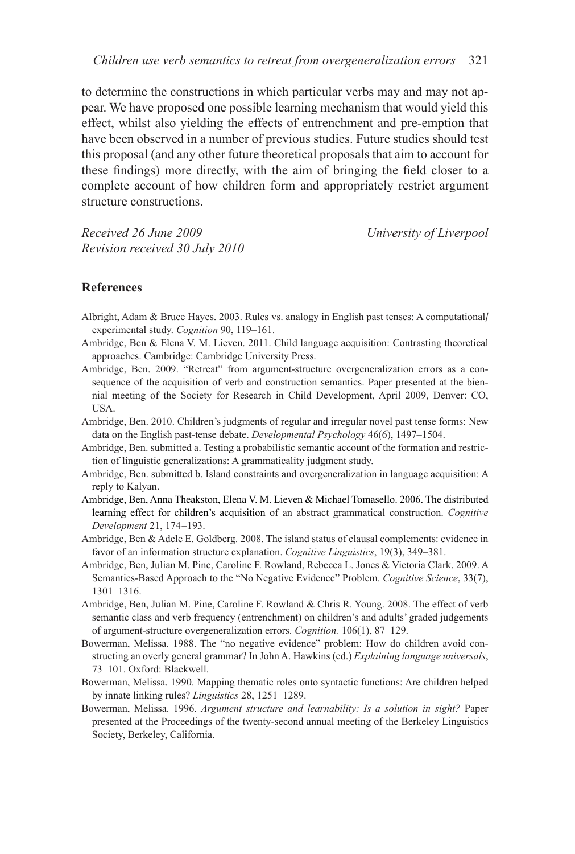to determine the constructions in which particular verbs may and may not appear. We have proposed one possible learning mechanism that would yield this effect, whilst also yielding the effects of entrenchment and pre-emption that have been observed in a number of previous studies. Future studies should test this proposal (and any other future theoretical proposals that aim to account for these findings) more directly, with the aim of bringing the field closer to a complete account of how children form and appropriately restrict argument structure constructions.

*Received 26 June 2009 University of Liverpool Revision received 30 July 2010*

#### **References**

- Albright, Adam & Bruce Hayes. 2003. Rules vs. analogy in English past tenses: A computational/ experimental study. *Cognition* 90, 119–161.
- Ambridge, Ben & Elena V. M. Lieven. 2011. Child language acquisition: Contrasting theoretical approaches. Cambridge: Cambridge University Press.
- Ambridge, Ben. 2009. "Retreat" from argument-structure overgeneralization errors as a consequence of the acquisition of verb and construction semantics. Paper presented at the biennial meeting of the Society for Research in Child Development, April 2009, Denver: CO, USA.
- Ambridge, Ben. 2010. Children's judgments of regular and irregular novel past tense forms: New data on the English past-tense debate. *Developmental Psychology* 46(6), 1497–1504.
- Ambridge, Ben. submitted a. Testing a probabilistic semantic account of the formation and restriction of linguistic generalizations: A grammaticality judgment study.
- Ambridge, Ben. submitted b. Island constraints and overgeneralization in language acquisition: A reply to Kalyan.
- Ambridge, Ben, Anna Theakston, Elena V. M. Lieven & Michael Tomasello. 2006. The distributed learning effect for children's acquisition of an abstract grammatical construction. *Cognitive Development* 21, 174 –193.
- Ambridge, Ben & Adele E. Goldberg. 2008. The island status of clausal complements: evidence in favor of an information structure explanation. *Cognitive Linguistics*, 19(3), 349–381.
- Ambridge, Ben, Julian M. Pine, Caroline F. Rowland, Rebecca L. Jones & Victoria Clark. 2009. A Semantics-Based Approach to the "No Negative Evidence" Problem. *Cognitive Science*, 33(7), 1301–1316.
- Ambridge, Ben, Julian M. Pine, Caroline F. Rowland & Chris R. Young. 2008. The effect of verb semantic class and verb frequency (entrenchment) on children's and adults' graded judgements of argument-structure overgeneralization errors. *Cognition.* 106(1), 87*–*129.
- Bowerman, Melissa. 1988. The "no negative evidence" problem: How do children avoid constructing an overly general grammar? In John A. Hawkins (ed.) *Explaining language universals*, 73–101. Oxford: Blackwell.
- Bowerman, Melissa. 1990. Mapping thematic roles onto syntactic functions: Are children helped by innate linking rules? *Linguistics* 28, 1251–1289.
- Bowerman, Melissa. 1996. *Argument structure and learnability: Is a solution in sight?* Paper presented at the Proceedings of the twenty-second annual meeting of the Berkeley Linguistics Society, Berkeley, California.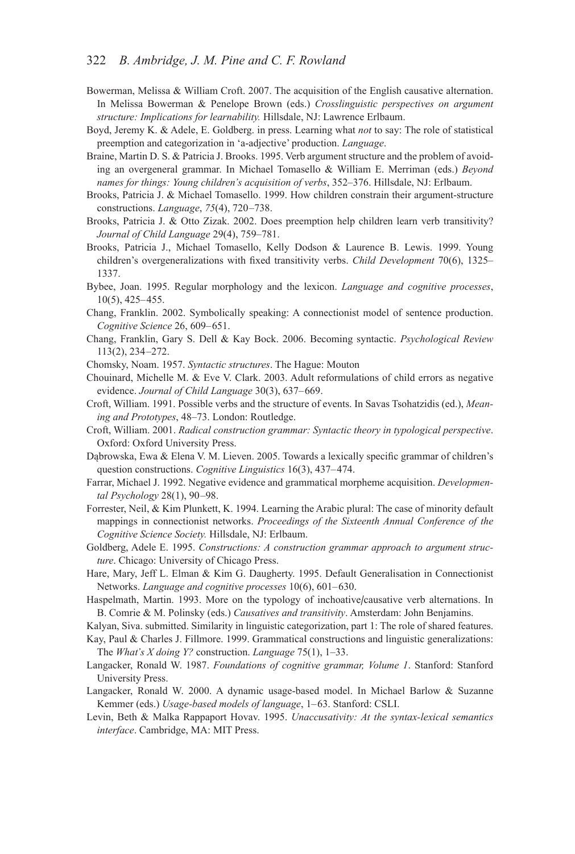- Bowerman, Melissa & William Croft. 2007. The acquisition of the English causative alternation. In Melissa Bowerman & Penelope Brown (eds.) *Crosslinguistic perspectives on argument structure: Implications for learnability.* Hillsdale, NJ: Lawrence Erlbaum.
- Boyd, Jeremy K. & Adele, E. Goldberg. in press. Learning what *not* to say: The role of statistical preemption and categorization in 'a-adjective' production. *Language*.
- Braine, Martin D. S. & Patricia J. Brooks. 1995. Verb argument structure and the problem of avoiding an overgeneral grammar. In Michael Tomasello & William E. Merriman (eds.) *Beyond names for things: Young children's acquisition of verbs*, 352–376. Hillsdale, NJ: Erlbaum.
- Brooks, Patricia J. & Michael Tomasello. 1999. How children constrain their argument-structure constructions. *Language*, *75*(4), 720 –738.
- Brooks, Patricia J. & Otto Zizak. 2002. Does preemption help children learn verb transitivity? *Journal of Child Language* 29(4), 759–781.
- Brooks, Patricia J., Michael Tomasello, Kelly Dodson & Laurence B. Lewis. 1999. Young children's overgeneralizations with fixed transitivity verbs. *Child Development* 70(6), 1325– 1337.
- Bybee, Joan. 1995. Regular morphology and the lexicon. *Language and cognitive processes*,  $10(5)$ , 425-455.
- Chang, Franklin. 2002. Symbolically speaking: A connectionist model of sentence production. *Cognitive Science* 26, 609– 651.
- Chang, Franklin, Gary S. Dell & Kay Bock. 2006. Becoming syntactic. *Psychological Review*  113(2), 234 –272.
- Chomsky, Noam. 1957. *Syntactic structures*. The Hague: Mouton
- Chouinard, Michelle M. & Eve V. Clark. 2003. Adult reformulations of child errors as negative evidence. *Journal of Child Language* 30(3), 637–669.
- Croft, William. 1991. Possible verbs and the structure of events. In Savas Tsohatzidis (ed.), *Meaning and Prototypes*, 48–73. London: Routledge.
- Croft, William. 2001. *Radical construction grammar: Syntactic theory in typological perspective*. Oxford: Oxford University Press.
- Dąbrowska, Ewa & Elena V. M. Lieven. 2005. Towards a lexically specific grammar of children's question constructions. *Cognitive Linguistics* 16(3), 437–474.
- Farrar, Michael J. 1992. Negative evidence and grammatical morpheme acquisition. *Developmental Psychology* 28(1), 90 –98.
- Forrester, Neil, & Kim Plunkett, K. 1994. Learning the Arabic plural: The case of minority default mappings in connectionist networks. *Proceedings of the Sixteenth Annual Conference of the Cognitive Science Society.* Hillsdale, NJ: Erlbaum.
- Goldberg, Adele E. 1995. *Constructions: A construction grammar approach to argument structure*. Chicago: University of Chicago Press.
- Hare, Mary, Jeff L. Elman & Kim G. Daugherty. 1995. Default Generalisation in Connectionist Networks. *Language and cognitive processes* 10(6), 601– 630.
- Haspelmath, Martin. 1993. More on the typology of inchoative/causative verb alternations. In B. Comrie & M. Polinsky (eds.) *Causatives and transitivity*. Amsterdam: John Benjamins.
- Kalyan, Siva. submitted. Similarity in linguistic categorization, part 1: The role of shared features.
- Kay, Paul & Charles J. Fillmore. 1999. Grammatical constructions and linguistic generalizations: The *What's X doing Y?* construction. *Language* 75(1), 1–33.
- Langacker, Ronald W. 1987. *Foundations of cognitive grammar, Volume 1*. Stanford: Stanford University Press.
- Langacker, Ronald W. 2000. A dynamic usage-based model. In Michael Barlow & Suzanne Kemmer (eds.) *Usage-based models of language*, 1– 63. Stanford: CSLI.
- Levin, Beth & Malka Rappaport Hovav. 1995. *Unaccusativity: At the syntax-lexical semantics interface*. Cambridge, MA: MIT Press.